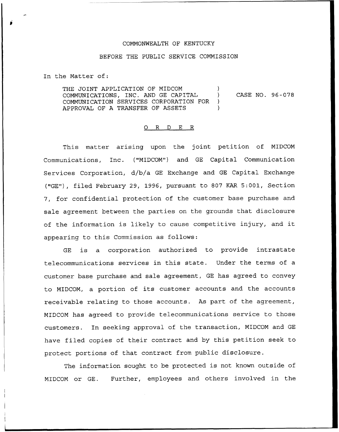## COMMONWEALTH OF KENTUCKY

## BEFORE THE PUBLIC SERVICE COMMISSION

In the Matter of:

THE JOINT APPLICATION OF MIDCOM COMMUNICATIONS, INC. AND GE CAPITAL COMMUNICATION SERVICES CORPORATION FOR ) APPROVAL OF A TRANSFER OF ASSETS ) CASE NO. 96-078

## 0 R <sup>D</sup> E R

This matter arising upon the joint petition of MIDCOM Communications, Inc. ("MIDCOM") and GE Capital Communication Services Corporation, d/b/a GE Exchange and GE Capital Exchange ("GE"), filed February 29, 1996, pursuant to 807 KAR 5:001, Section 7, for confidential protection of the customer base purchase and sale agreement between the parties on the grounds that disclosure of the information is likely to cause competitive injury, and it appearing to this Commission as follows:

GE is a corporation authorized to provide intrastate telecommunications services in this state. Under the terms of a customer base purchase and sale agreement, GE has agreed to convey to MIDCOM, <sup>a</sup> portion of its customer accounts and the accounts receivable relating to those accounts. As part of the agreement, MIDCOM has agreed to provide telecommunications service to those customers. In seeking approval of the transaction, MIDCOM and GE have filed copies of their contract and by this petition seek to protect portions of that contract from public disclosure.

The information sought to be protected is not known outside of MIDCOM or GE. Further, employees and others involved in the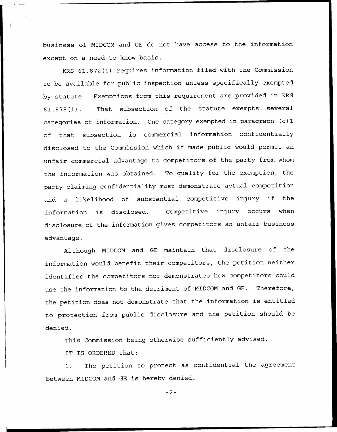business of NIDCOM and GE do not have access to the information except on a need-to-know basis.

KRS 61.872(1) requires information filed with the Commission to be available for public inspection unless specifically exempted by statute. Exemptions from this requirement are provided in KRS 61.878(1). That subsection of the statute exempts several categories of information. One category exempted in paragraph (c) 1 of that subsection is commercial information confidentially disclosed to the Commission which if made public would permit an unfair commercial advantage to competitors of the party from whom the information was obtained. To qualify for the exemption, the party claiming confidentiality must demonstrate actual competition and <sup>a</sup> likelihood of substantial competitive injury if the information is disclosed. Competitive injury occurs when disclosure of the information gives competitors an unfair business advantage.

Although MIDCON and GE maintain that disclosure of the information would benefit their competitors, the petition neither identifies the competitors nor demonstrates how competitors could use the information to the detriment of MIDCOM and GE. Therefore, the petition does not demonstrate that the information is entitled to protection from public disclosure and the petition should be denied.

This Commission being otherwise sufficiently advised,

IT IS ORDERED that:

1. The petition to protect as confidential the agreement between MIDCOM and GE is hereby denied.

 $-2-$